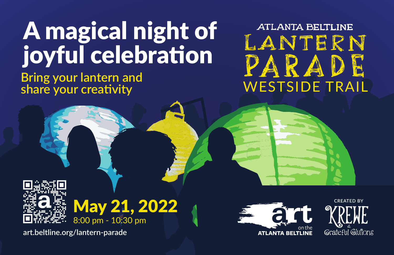# A magical night of joyful celebration

## **Bring your lantern and share your creativity**

**ATLANTA BELTLINE** LANTERN PARADE WESTSIDE TRAIL





**art.beltline.org/lantern-parade**



**CREATED BY**Grateful Glutions